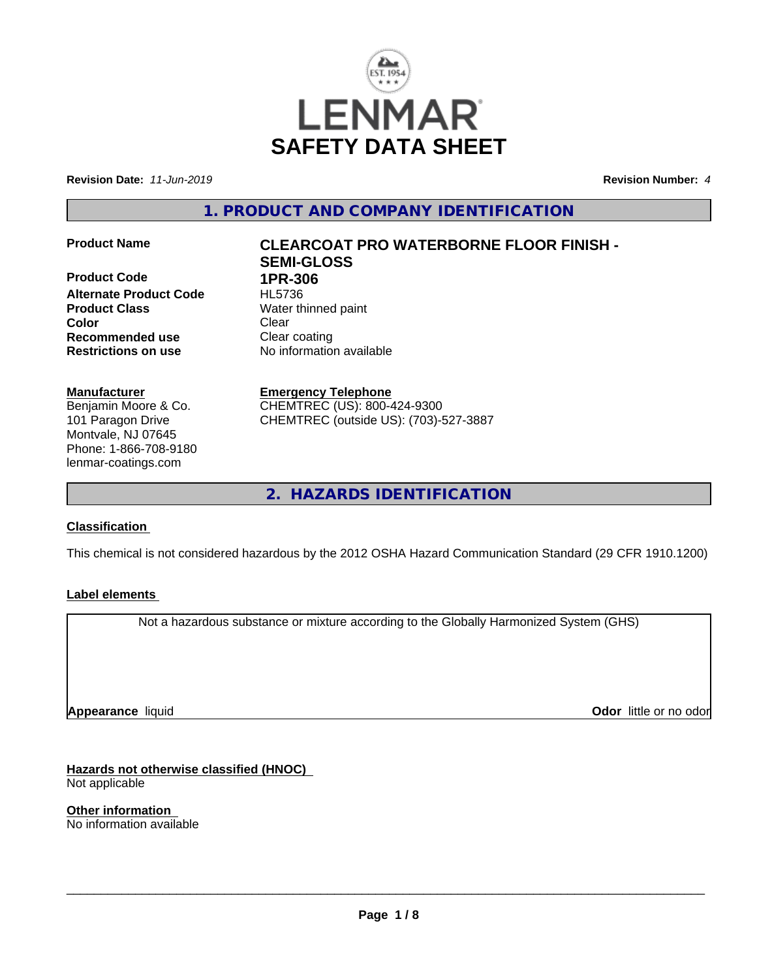

**Revision Date:** *11-Jun-2019* **Revision Number:** *4*

**1. PRODUCT AND COMPANY IDENTIFICATION**

**Product Code 1PR-306 Alternate Product Code** HL5736 **Product Class** Water thinned paint **Color** Clear Clear **Recommended use** Clear coating **Restrictions on use** No information available

#### **Manufacturer**

Benjamin Moore & Co. 101 Paragon Drive Montvale, NJ 07645 Phone: 1-866-708-9180 lenmar-coatings.com

# **Product Name CLEARCOAT PRO WATERBORNE FLOOR FINISH - SEMI-GLOSS**

**Emergency Telephone** CHEMTREC (US): 800-424-9300 CHEMTREC (outside US): (703)-527-3887

**2. HAZARDS IDENTIFICATION**

## **Classification**

This chemical is not considered hazardous by the 2012 OSHA Hazard Communication Standard (29 CFR 1910.1200)

#### **Label elements**

Not a hazardous substance or mixture according to the Globally Harmonized System (GHS)

**Appearance** liquid

**Odor** little or no odor

**Hazards not otherwise classified (HNOC)** Not applicable

**Other information** No information available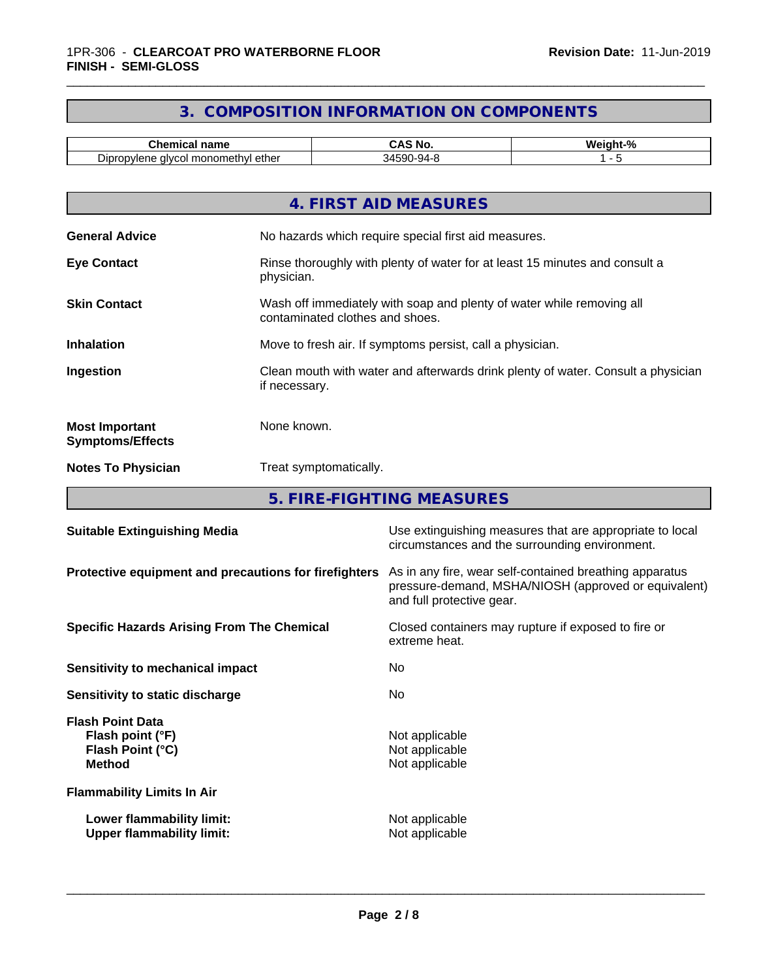# **3. COMPOSITION INFORMATION ON COMPONENTS**

\_\_\_\_\_\_\_\_\_\_\_\_\_\_\_\_\_\_\_\_\_\_\_\_\_\_\_\_\_\_\_\_\_\_\_\_\_\_\_\_\_\_\_\_\_\_\_\_\_\_\_\_\_\_\_\_\_\_\_\_\_\_\_\_\_\_\_\_\_\_\_\_\_\_\_\_\_\_\_\_\_\_\_\_\_\_\_\_\_\_\_\_\_

| -------<br>name<br>.                                                                                          | -<br>.<br>טוו      | .<br>ົດ 2<br>. |
|---------------------------------------------------------------------------------------------------------------|--------------------|----------------|
| -<br>าomethvl<br>- - -<br>١ır<br>alvec<br>nnr<br>$-$<br>ı etner<br>mon<br>ֿישוע<br><br>ັ<br>. .<br>___<br>___ | 590<br>ъuл.<br>∢∕⊩ |                |

|                                                  | 4. FIRST AID MEASURES                                                                                    |
|--------------------------------------------------|----------------------------------------------------------------------------------------------------------|
| <b>General Advice</b>                            | No hazards which require special first aid measures.                                                     |
| <b>Eye Contact</b>                               | Rinse thoroughly with plenty of water for at least 15 minutes and consult a<br>physician.                |
| <b>Skin Contact</b>                              | Wash off immediately with soap and plenty of water while removing all<br>contaminated clothes and shoes. |
| <b>Inhalation</b>                                | Move to fresh air. If symptoms persist, call a physician.                                                |
| Ingestion                                        | Clean mouth with water and afterwards drink plenty of water. Consult a physician<br>if necessary.        |
| <b>Most Important</b><br><b>Symptoms/Effects</b> | None known.                                                                                              |
| <b>Notes To Physician</b>                        | Treat symptomatically.                                                                                   |
|                                                  |                                                                                                          |

**5. FIRE-FIGHTING MEASURES**

| Use extinguishing measures that are appropriate to local<br>circumstances and the surrounding environment.                                   |
|----------------------------------------------------------------------------------------------------------------------------------------------|
| As in any fire, wear self-contained breathing apparatus<br>pressure-demand, MSHA/NIOSH (approved or equivalent)<br>and full protective gear. |
| Closed containers may rupture if exposed to fire or<br>extreme heat.                                                                         |
| No.                                                                                                                                          |
| No.                                                                                                                                          |
| Not applicable<br>Not applicable<br>Not applicable                                                                                           |
|                                                                                                                                              |
| Not applicable<br>Not applicable                                                                                                             |
|                                                                                                                                              |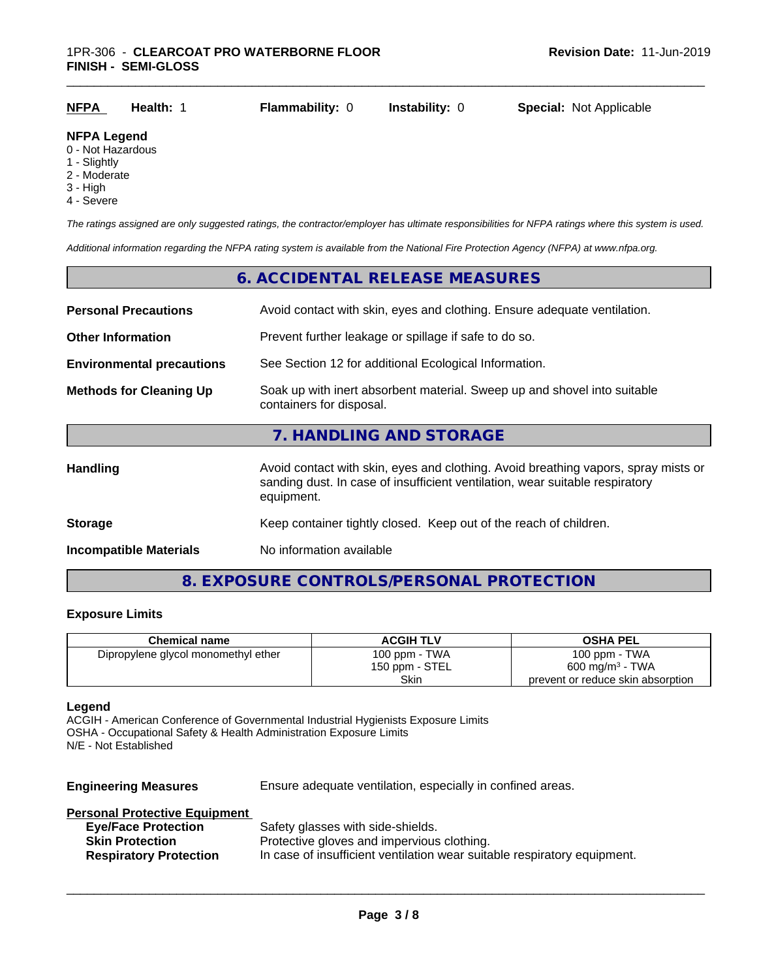| <b>NFPA</b>        | <b>Health: 1</b> | <b>Flammability: 0</b> | <b>Instability: 0</b> | <b>Special: Not Applicable</b> |
|--------------------|------------------|------------------------|-----------------------|--------------------------------|
| <b>NFPA Legend</b> |                  |                        |                       |                                |

- 0 Not Hazardous
- 1 Slightly
- 2 Moderate
- 3 High
- 4 Severe

*The ratings assigned are only suggested ratings, the contractor/employer has ultimate responsibilities for NFPA ratings where this system is used.*

*Additional information regarding the NFPA rating system is available from the National Fire Protection Agency (NFPA) at www.nfpa.org.*

# **6. ACCIDENTAL RELEASE MEASURES Personal Precautions** Avoid contact with skin, eyes and clothing. Ensure adequate ventilation. **Other Information** Prevent further leakage or spillage if safe to do so. **Environmental precautions** See Section 12 for additional Ecological Information. **Methods for Cleaning Up** Soak up with inert absorbent material. Sweep up and shovel into suitable containers for disposal. **7. HANDLING AND STORAGE** Handling **Handling** Avoid contact with skin, eyes and clothing. Avoid breathing vapors, spray mists or sanding dust. In case of insufficient ventilation, wear suitable respiratory equipment. **Storage** Keep container tightly closed. Keep out of the reach of children. **Incompatible Materials** No information available

## **8. EXPOSURE CONTROLS/PERSONAL PROTECTION**

#### **Exposure Limits**

| <b>Chemical name</b>                | <b>ACGIH TLV</b> | <b>OSHA PEL</b>                   |
|-------------------------------------|------------------|-----------------------------------|
| Dipropylene glycol monomethyl ether | 100 ppm - TWA    | 100 ppm - $TWA$                   |
|                                     | 150 ppm - STEL   | $600 \text{ mg/m}^3$ - TWA        |
|                                     | Skin             | prevent or reduce skin absorption |

#### **Legend**

ACGIH - American Conference of Governmental Industrial Hygienists Exposure Limits OSHA - Occupational Safety & Health Administration Exposure Limits N/E - Not Established

**Engineering Measures** Ensure adequate ventilation, especially in confined areas.

#### **Personal Protective Equipment**

| <b>Eye/Face Protection</b>    | Safety glasses with side-shields.                                        |
|-------------------------------|--------------------------------------------------------------------------|
| <b>Skin Protection</b>        | Protective gloves and impervious clothing.                               |
| <b>Respiratory Protection</b> | In case of insufficient ventilation wear suitable respiratory equipment. |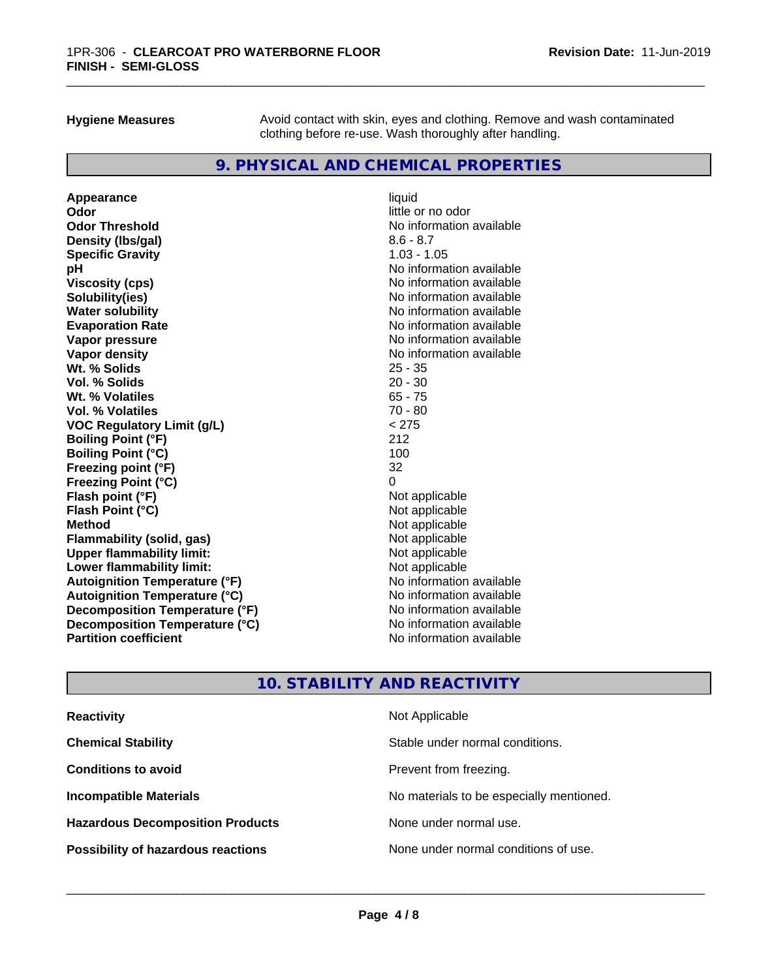**Hygiene Measures** Avoid contact with skin, eyes and clothing. Remove and wash contaminated clothing before re-use. Wash thoroughly after handling.

\_\_\_\_\_\_\_\_\_\_\_\_\_\_\_\_\_\_\_\_\_\_\_\_\_\_\_\_\_\_\_\_\_\_\_\_\_\_\_\_\_\_\_\_\_\_\_\_\_\_\_\_\_\_\_\_\_\_\_\_\_\_\_\_\_\_\_\_\_\_\_\_\_\_\_\_\_\_\_\_\_\_\_\_\_\_\_\_\_\_\_\_\_

## **9. PHYSICAL AND CHEMICAL PROPERTIES**

**Appearance** liquid **Odor** little or no odor **Odor Threshold No information available No information available Density (lbs/gal)** 8.6 - 8.7<br> **Specific Gravity** 8.6 - 8.7 **Specific Gravity pH**<br>
Viscosity (cps) The Contract of the Contract of the Viscosity (cps) and Viscosity (cps) **Solubility(ies)** No information available **Water solubility Mater Solubility**<br> **Evaporation Rate** Mate No information available **Vapor pressure** No information available **Vapor density Vapor** density **Wt. % Solids** 25 - 35 **Vol. % Solids** 20 - 30 **Wt. % Volatiles** 65 - 75 **Vol. % Volatiles** 70 - 80 **VOC Regulatory Limit (g/L)** < 275 **Boiling Point (°F)** 212 **Boiling Point (°C)** 100 **Freezing point (°F)** 32 **Freezing Point (°C)** 0 **Flash point (°F)**<br> **Flash Point (°C)**<br> **Flash Point (°C)**<br> **C Flash Point (°C) Method** Not applicable **Flammability (solid, gas)** Not applicable Not applicable<br>
Upper flammability limit: Not applicable **Upper flammability limit:**<br> **Lower flammability limit:**<br>
Not applicable<br>
Not applicable **Lower flammability limit:**<br> **Autoianition Temperature (°F)** Not applicable Not applicable available **Autoignition Temperature (°F)**<br> **Autoignition Temperature (°C)**<br> **Autoignition Temperature (°C)**<br>
Mo information available **Autoignition Temperature (°C) Decomposition Temperature (°F)** No information available **Decomposition Temperature (°C)**<br> **Partition coefficient**<br> **Partition coefficient**<br> **No** information available

**Viscosity (cps)** No information available **Evaporation Rate** No information available **No information available** 

## **10. STABILITY AND REACTIVITY**

| <b>Reactivity</b>                         | Not Applicable                           |
|-------------------------------------------|------------------------------------------|
| <b>Chemical Stability</b>                 | Stable under normal conditions.          |
| <b>Conditions to avoid</b>                | Prevent from freezing.                   |
| <b>Incompatible Materials</b>             | No materials to be especially mentioned. |
| <b>Hazardous Decomposition Products</b>   | None under normal use.                   |
| <b>Possibility of hazardous reactions</b> | None under normal conditions of use.     |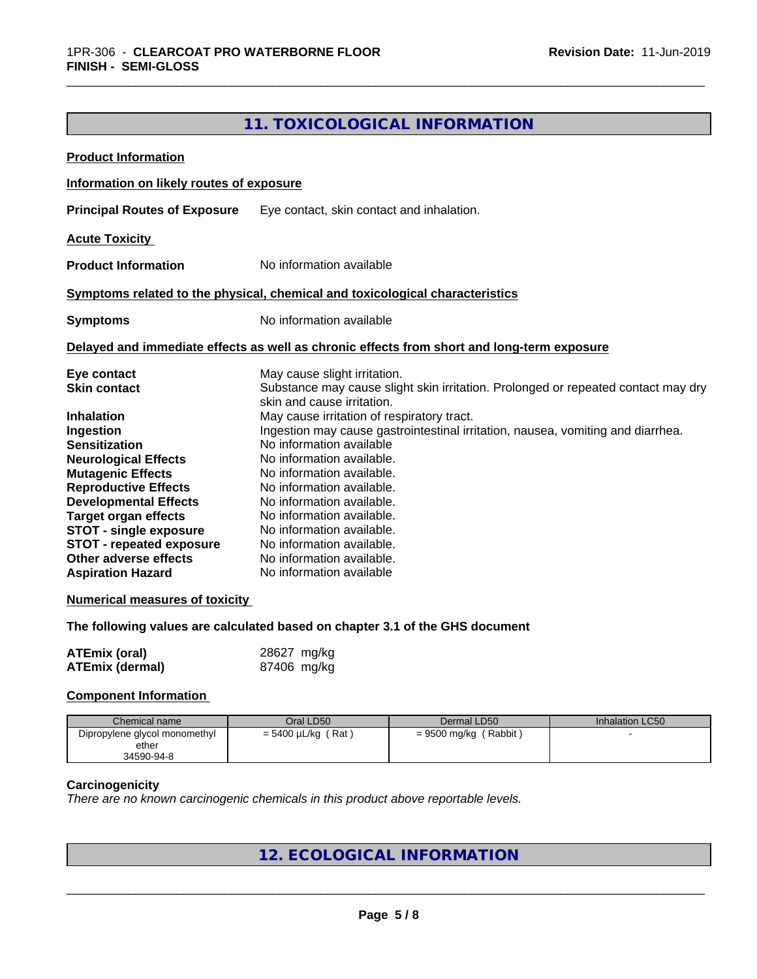# **11. TOXICOLOGICAL INFORMATION**

| <b>Product Information</b>               |                                                                                                                 |
|------------------------------------------|-----------------------------------------------------------------------------------------------------------------|
| Information on likely routes of exposure |                                                                                                                 |
| <b>Principal Routes of Exposure</b>      | Eye contact, skin contact and inhalation.                                                                       |
| <b>Acute Toxicity</b>                    |                                                                                                                 |
| <b>Product Information</b>               | No information available                                                                                        |
|                                          | Symptoms related to the physical, chemical and toxicological characteristics                                    |
| <b>Symptoms</b>                          | No information available                                                                                        |
|                                          | Delayed and immediate effects as well as chronic effects from short and long-term exposure                      |
| Eye contact                              | May cause slight irritation.                                                                                    |
| <b>Skin contact</b>                      | Substance may cause slight skin irritation. Prolonged or repeated contact may dry<br>skin and cause irritation. |
| <b>Inhalation</b>                        | May cause irritation of respiratory tract.                                                                      |
| Ingestion                                | Ingestion may cause gastrointestinal irritation, nausea, vomiting and diarrhea.                                 |
| <b>Sensitization</b>                     | No information available                                                                                        |
| <b>Neurological Effects</b>              | No information available.                                                                                       |
| <b>Mutagenic Effects</b>                 | No information available.                                                                                       |
| <b>Reproductive Effects</b>              | No information available.                                                                                       |
| <b>Developmental Effects</b>             | No information available.                                                                                       |
| <b>Target organ effects</b>              | No information available.                                                                                       |
| <b>STOT - single exposure</b>            | No information available.                                                                                       |
| <b>STOT - repeated exposure</b>          | No information available.                                                                                       |
| Other adverse effects                    | No information available.                                                                                       |
| <b>Aspiration Hazard</b>                 | No information available                                                                                        |
| <b>Numerical measures of toxicity</b>    |                                                                                                                 |
|                                          | The following values are calculated based on chapter 3.1 of the GHS document                                    |
| <b>ATEmix (oral)</b>                     | 28627 mg/kg                                                                                                     |
| <b>ATEmix (dermal)</b>                   | 87406 mg/kg                                                                                                     |

#### **Component Information**

| Chemical name                 | Oral LD50               | Dermal LD50              | Inhalation LC50 |
|-------------------------------|-------------------------|--------------------------|-----------------|
| Dipropylene glycol monomethyl | $= 5400 \mu L/kg$ (Rat) | (Rabbit)<br>= 9500 mg/kg |                 |
| ether                         |                         |                          |                 |
| 34590-94-8                    |                         |                          |                 |

#### **Carcinogenicity**

*There are no known carcinogenic chemicals in this product above reportable levels.*

# **12. ECOLOGICAL INFORMATION**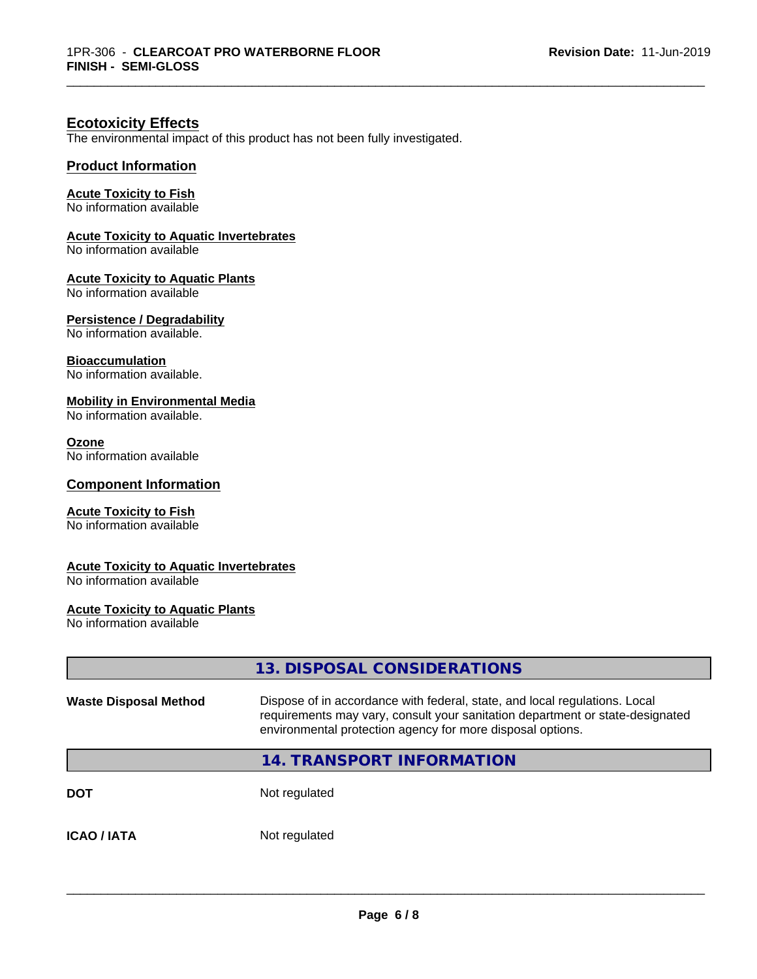\_\_\_\_\_\_\_\_\_\_\_\_\_\_\_\_\_\_\_\_\_\_\_\_\_\_\_\_\_\_\_\_\_\_\_\_\_\_\_\_\_\_\_\_\_\_\_\_\_\_\_\_\_\_\_\_\_\_\_\_\_\_\_\_\_\_\_\_\_\_\_\_\_\_\_\_\_\_\_\_\_\_\_\_\_\_\_\_\_\_\_\_\_

## **Ecotoxicity Effects**

The environmental impact of this product has not been fully investigated.

#### **Product Information**

#### **Acute Toxicity to Fish**

No information available

#### **Acute Toxicity to Aquatic Invertebrates**

No information available

#### **Acute Toxicity to Aquatic Plants**

No information available

#### **Persistence / Degradability**

No information available.

#### **Bioaccumulation**

No information available.

#### **Mobility in Environmental Media**

No information available.

#### **Ozone**

No information available

#### **Component Information**

#### **Acute Toxicity to Fish**

No information available

#### **Acute Toxicity to Aquatic Invertebrates**

No information available

#### **Acute Toxicity to Aquatic Plants**

No information available

|                              | 13. DISPOSAL CONSIDERATIONS                                                                                                                                                                                               |
|------------------------------|---------------------------------------------------------------------------------------------------------------------------------------------------------------------------------------------------------------------------|
| <b>Waste Disposal Method</b> | Dispose of in accordance with federal, state, and local regulations. Local<br>requirements may vary, consult your sanitation department or state-designated<br>environmental protection agency for more disposal options. |
|                              | 14. TRANSPORT INFORMATION                                                                                                                                                                                                 |
| <b>DOT</b>                   | Not regulated                                                                                                                                                                                                             |
| <b>ICAO / IATA</b>           | Not regulated                                                                                                                                                                                                             |
|                              |                                                                                                                                                                                                                           |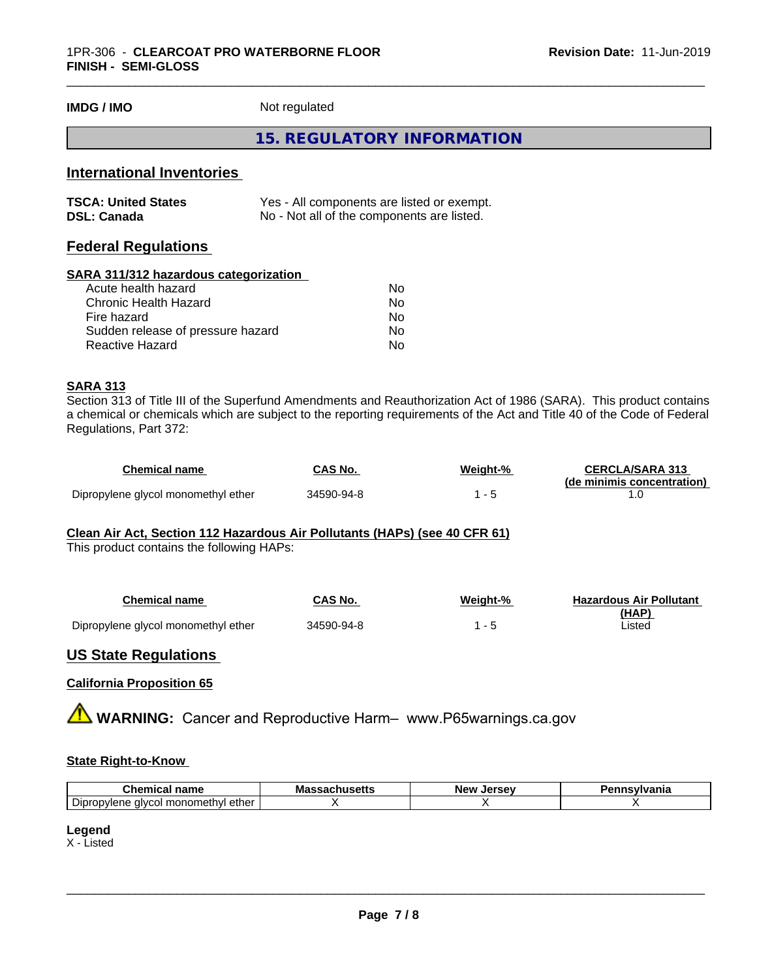**IMDG / IMO** Not regulated

#### **15. REGULATORY INFORMATION**

\_\_\_\_\_\_\_\_\_\_\_\_\_\_\_\_\_\_\_\_\_\_\_\_\_\_\_\_\_\_\_\_\_\_\_\_\_\_\_\_\_\_\_\_\_\_\_\_\_\_\_\_\_\_\_\_\_\_\_\_\_\_\_\_\_\_\_\_\_\_\_\_\_\_\_\_\_\_\_\_\_\_\_\_\_\_\_\_\_\_\_\_\_

# **International Inventories**

| <b>TSCA: United States</b> | Yes - All components are listed or exempt. |
|----------------------------|--------------------------------------------|
| <b>DSL: Canada</b>         | No - Not all of the components are listed. |

## **Federal Regulations**

#### **SARA 311/312 hazardous categorization**

| No. |
|-----|
| Nο  |
| No  |
| Nο  |
| N٥  |
|     |

#### **SARA 313**

Section 313 of Title III of the Superfund Amendments and Reauthorization Act of 1986 (SARA). This product contains a chemical or chemicals which are subject to the reporting requirements of the Act and Title 40 of the Code of Federal Regulations, Part 372:

| Chemical name                       | CAS No.    | Weight-% | <b>CERCLA/SARA 313</b>     |
|-------------------------------------|------------|----------|----------------------------|
|                                     |            |          | (de minimis concentration) |
| Dipropylene glycol monomethyl ether | 34590-94-8 |          |                            |

#### **Clean Air Act,Section 112 Hazardous Air Pollutants (HAPs) (see 40 CFR 61)**

This product contains the following HAPs:

| Chemical name                       | CAS No.    | Weight-% | <b>Hazardous Air Pollutant</b> |
|-------------------------------------|------------|----------|--------------------------------|
|                                     |            |          | (HAP)                          |
| Dipropylene glycol monomethyl ether | 34590-94-8 |          | Listed                         |

#### **US State Regulations**

#### **California Proposition 65**

**AVIMARNING:** Cancer and Reproductive Harm– www.P65warnings.ca.gov

#### **State Right-to-Know**

| . <del>.</del> .<br>- -<br>name<br>Chemica                                       | Mass<br>…Jaul  ujulio | <b>Jersey</b><br><b>Nev</b> | <b>`nsylvania</b> |
|----------------------------------------------------------------------------------|-----------------------|-----------------------------|-------------------|
| $\overline{\phantom{a}}$<br>∵ monometh∨l ether ار<br>Dipropylene<br>alvca<br>. 1 |                       |                             |                   |

#### **Legend**

X - Listed